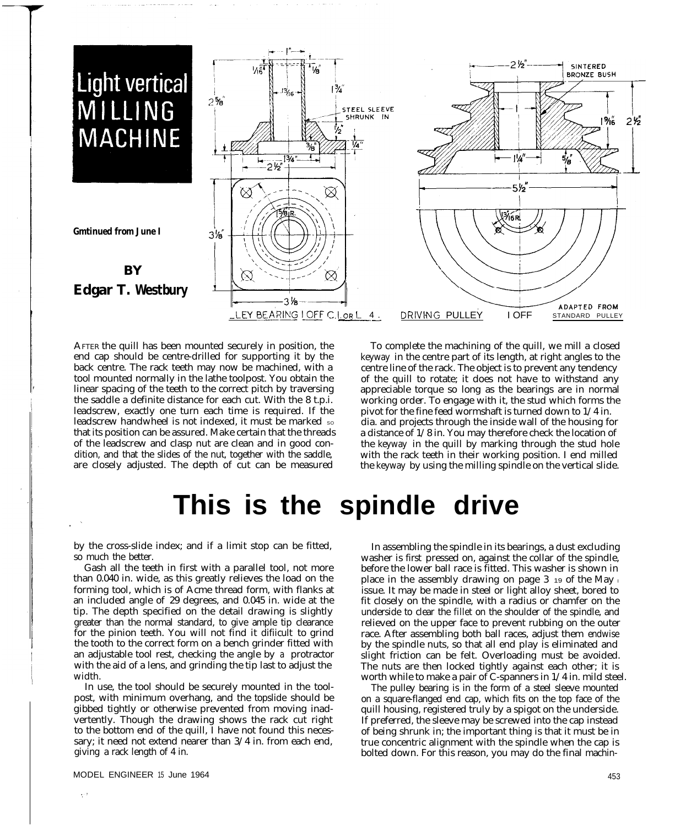

AFTER the quill has been mounted securely in position, the end cap should be centre-drilled for supporting it by the back centre. The rack teeth may now be machined, with a tool mounted normally in the lathe toolpost. You obtain the linear spacing of the teeth to the correct pitch by traversing the saddle a definite distance for each cut. With the 8 t.p.i. leadscrew, exactly one turn each time is required. If the leadscrew handwheel is not indexed, it must be marked so that its position can be assured. Make certain that the threads of the leadscrew and clasp nut are clean and in good condition, and that the slides of the nut, together with the saddle, are closely adjusted. The depth of cut can be measured

To complete the machining of the quill, we mill a closed keyway in the centre part of its length, at right angles to the centre line of the rack. The object is to prevent any tendency of the quill to rotate; it does not have to withstand any appreciable torque so long as the bearings are in normal working order. To engage with it, the stud which forms the pivot for the fine feed wormshaft is turned down to 1/4 in. dia. and projects through the inside wall of the housing for a distance of 1/8 in. You may therefore check the location of the keyway in the quill by marking through the stud hole with the rack teeth in their working position. I end milled the keyway by using the milling spindle on the vertical slide.

# **This is the spindle drive**

by the cross-slide index; and if a limit stop can be fitted, so much the better.

Gash all the teeth in first with a parallel tool, not more than 0.040 in. wide, as this greatly relieves the load on the forming tool, which is of Acme thread form, with flanks at an included angle of 29 degrees, and 0.045 in. wide at the tip. The depth specified on the detail drawing is slightly greater than the normal standard, to give ample tip clearance for the pinion teeth. You will not find it difiicult to grind the tooth to the correct form on a bench grinder fitted with an adjustable tool rest, checking the angle by a protractor with the aid of a lens, and grinding the tip last to adjust the width.

In use, the tool should be securely mounted in the toolpost, with minimum overhang, and the topslide should be gibbed tightly or otherwise prevented from moving inadvertently. Though the drawing shows the rack cut right to the bottom end of the quill, I have not found this necessary; it need not extend nearer than  $3/4$  in. from each end, giving a rack length of 4 in.

In assembling the spindle in its bearings, a dust excluding washer is first pressed on, against the collar of the spindle, before the lower ball race is fitted. This washer is shown in place in the assembly drawing on page  $3\,$  19 of the May  $\,$ issue. It may be made in steel or light alloy sheet, bored to fit closely on the spindle, with a radius or chamfer on the underside to clear the fillet on the shoulder of the spindle, and relieved on the upper face to prevent rubbing on the outer race. After assembling both ball races, adjust them endwise by the spindle nuts, so that all end play is eliminated and slight friction can be felt. Overloading must be avoided. The nuts are then locked tightly against each other; it is worth while to make a pair of C-spanners in 1/4 in. mild steel.

The pulley bearing is in the form of a steel sleeve mounted on a square-flanged end cap, which fits on the top face of the quill housing, registered truly by a spigot on the underside. If preferred, the sleeve may be screwed into the cap instead of being shrunk in; the important thing is that it must be in true concentric alignment with the spindle when the cap is bolted down. For this reason, you may do the final machin-

453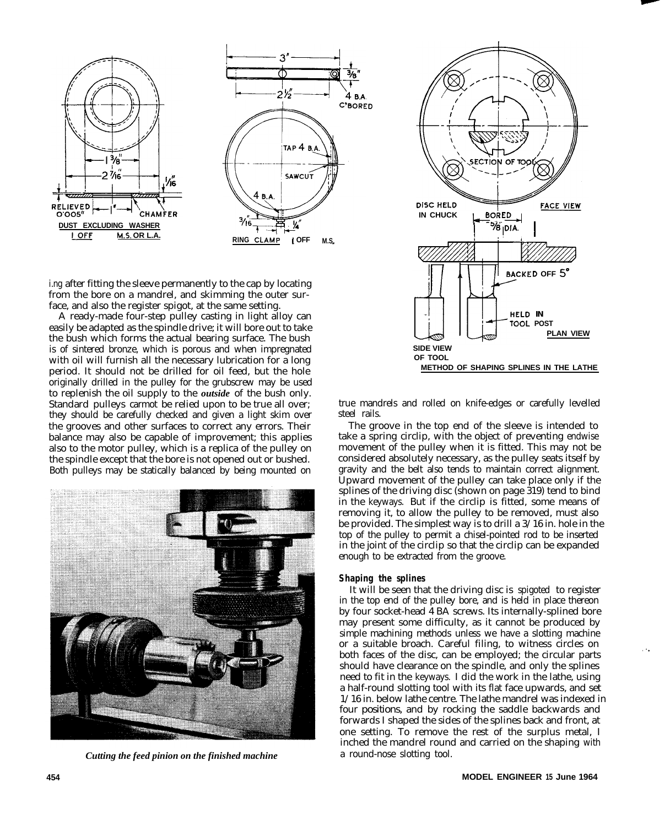

i.ng after fitting the sleeve permanently to the cap by locating from the bore on a mandrel, and skimming the outer surface, and also the register spigot, at the same setting.

A ready-made four-step pulley casting in light alloy can easily be adapted as the spindle drive; it will bore out to take the bush which forms the actual bearing surface. The bush is of sintered bronze, which is porous and when impregnated with oil will furnish all the necessary lubrication for a long period. It should not be drilled for oil feed, but the hole originally drilled in the pulley for the grubscrew may be used to replenish the oil supply to the *outside* of the bush only. Standard pulleys carmot be relied upon to be true all over; they should be carefully checked and given a light skim over the grooves and other surfaces to correct any errors. Their balance may also be capable of improvement; this applies also to the motor pulley, which is a replica of the pulley on the spindle except that the bore is not opened out or bushed. Both pulleys may be statically balanced by being mounted on



*Cutting the feed pinion on the finished machine*



true mandrels and rolled on knife-edges or carefully levelled steel rails.

The groove in the top end of the sleeve is intended to take a spring circlip, with the object of preventing endwise movement of the pulley when it is fitted. This may not be considered absolutely necessary, as the pulley seats itself by gravity and the belt also tends to maintain correct alignment. Upward movement of the pulley can take place only if the splines of the driving disc (shown on page 319) tend to bind in the keyways. But if the circlip is fitted, some means of removing it, to allow the pulley to be removed, must also be provided. The simplest way is to drill a 3/16 in. hole in the top of the pulley to permit a chisel-pointed rod to be inserted in the joint of the circlip so that the circlip can be expanded enough to be extracted from the groove.

#### **Shaping the splines**

It will be seen that the driving disc is spigoted to register in the top end of the pulley bore, and is held in place thereon by four socket-head 4 BA screws. Its internally-splined bore may present some difficulty, as it cannot be produced by simple machining methods unless we have a slotting machine or a suitable broach. Careful filing, to witness circles on both faces of the disc, can be employed; the circular parts should have clearance on the spindle, and only the splines need to fit in the keyways. I did the work in the lathe, using a half-round slotting tool with its flat face upwards, and set 1/16 in. below lathe centre. The lathe mandrel was indexed in four positions, and by rocking the saddle backwards and forwards I shaped the sides of the splines back and front, at one setting. To remove the rest of the surplus metal, I inched the mandrel round and carried on the shaping with a round-nose slotting tool.